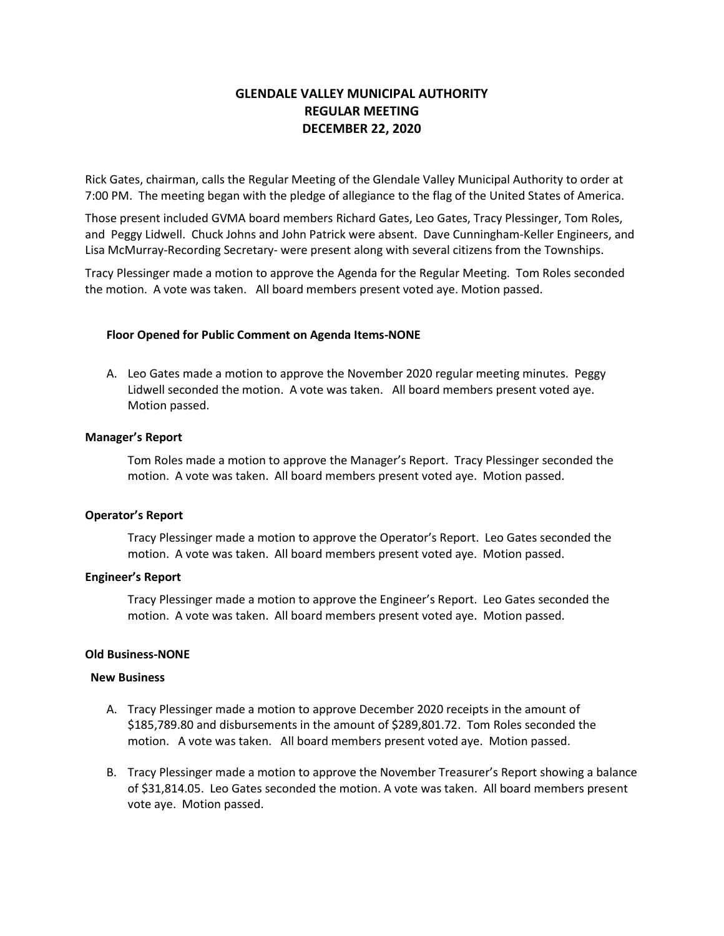# **GLENDALE VALLEY MUNICIPAL AUTHORITY REGULAR MEETING DECEMBER 22, 2020**

Rick Gates, chairman, calls the Regular Meeting of the Glendale Valley Municipal Authority to order at 7:00 PM. The meeting began with the pledge of allegiance to the flag of the United States of America.

Those present included GVMA board members Richard Gates, Leo Gates, Tracy Plessinger, Tom Roles, and Peggy Lidwell. Chuck Johns and John Patrick were absent. Dave Cunningham-Keller Engineers, and Lisa McMurray-Recording Secretary- were present along with several citizens from the Townships.

Tracy Plessinger made a motion to approve the Agenda for the Regular Meeting. Tom Roles seconded the motion. A vote was taken. All board members present voted aye. Motion passed.

## **Floor Opened for Public Comment on Agenda Items-NONE**

A. Leo Gates made a motion to approve the November 2020 regular meeting minutes. Peggy Lidwell seconded the motion. A vote was taken. All board members present voted aye. Motion passed.

### **Manager's Report**

Tom Roles made a motion to approve the Manager's Report. Tracy Plessinger seconded the motion. A vote was taken. All board members present voted aye. Motion passed.

### **Operator's Report**

Tracy Plessinger made a motion to approve the Operator's Report. Leo Gates seconded the motion. A vote was taken. All board members present voted aye. Motion passed.

### **Engineer's Report**

Tracy Plessinger made a motion to approve the Engineer's Report. Leo Gates seconded the motion. A vote was taken. All board members present voted aye. Motion passed.

### **Old Business-NONE**

### **New Business**

- A. Tracy Plessinger made a motion to approve December 2020 receipts in the amount of \$185,789.80 and disbursements in the amount of \$289,801.72. Tom Roles seconded the motion. A vote was taken. All board members present voted aye. Motion passed.
- B. Tracy Plessinger made a motion to approve the November Treasurer's Report showing a balance of \$31,814.05. Leo Gates seconded the motion. A vote was taken. All board members present vote aye. Motion passed.